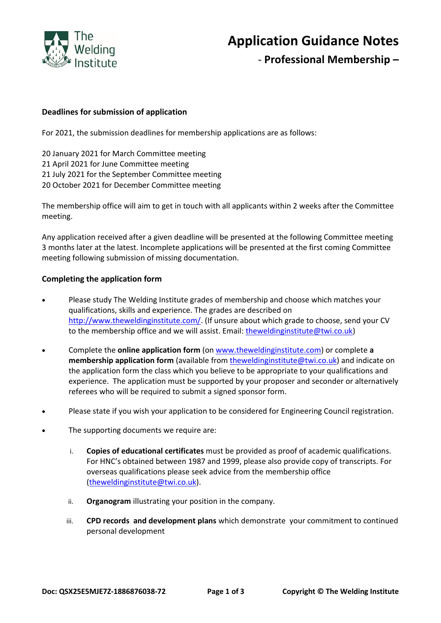

## **Application Guidance Notes**

- **Professional Membership –**

#### **Deadlines for submission of application**

For 2021, the submission deadlines for membership applications are as follows:

 January 2021 for March Committee meeting April 2021 for June Committee meeting July 2021 for the September Committee meeting October 2021 for December Committee meeting

The membership office will aim to get in touch with all applicants within 2 weeks after the Committee meeting.

Any application received after a given deadline will be presented at the following Committee meeting 3 months later at the latest. Incomplete applications will be presented at the first coming Committee meeting following submission of missing documentation.

#### **Completing the application form**

- Please study The Welding Institute grades of membership and choose which matches your qualifications, skills and experience. The grades are described on [http://www.theweldinginstitute.com/.](http://www.theweldinginstitute.com/) (If unsure about which grade to choose, send your CV to the membership office and we will assist. Email: [theweldinginstitute@twi.co.uk\)](mailto:theweldinginstitute@twi.co.uk)
- Complete the **online application form** (on [www.theweldinginstitute.com\)](http://www.theweldinginstitute.com/) or complete **a [membership application form](http://www.twiprofessional.com/content/profform2.pdf)** (available from [theweldinginstitute@twi.co.uk\)](mailto:theweldinginstitute@twi.co.uk) and indicate on the application form the class which you believe to be appropriate to your qualifications and experience. The application must be supported by your proposer and seconder or alternatively referees who will be required to submit a signed sponsor form.
- Please state if you wish your application to be considered for Engineering Council registration.
- The supporting documents we require are:
	- i. **Copies of educational certificates** must be provided as proof of academic qualifications. For HNC's obtained between 1987 and 1999, please also provide copy of transcripts. For overseas qualifications please seek advice from the membership office [\(theweldinginstitute@twi.co.uk\)](mailto:theweldinginstitute@twi.co.uk).
	- ii. **Organogram** illustrating your position in the company.
	- iii. **CPD records and development plans** which demonstrate your commitment to continued personal development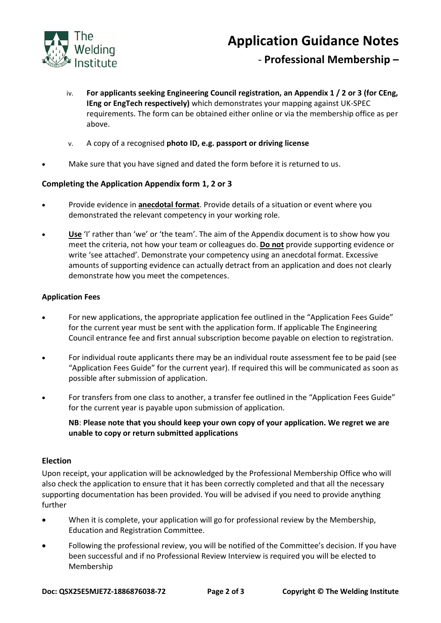

## - **Professional Membership –**

- iv. **For applicants seeking Engineering Council registration, an Appendix 1 / 2 or 3 (for CEng, IEng or EngTech respectively)** which demonstrates your mapping against UK-SPEC requirements. The form can be obtained either online or via the membership office as per above.
- v. A copy of a recognised **photo ID, e.g. passport or driving license**
- Make sure that you have signed and dated the form before it is returned to us.

#### **Completing the Application Appendix form 1, 2 or 3**

- Provide evidence in **anecdotal format**. Provide details of a situation or event where you demonstrated the relevant competency in your working role.
- **Use** 'I' rather than 'we' or 'the team'. The aim of the Appendix document is to show how you meet the criteria, not how your team or colleagues do. **Do not** provide supporting evidence or write 'see attached'. Demonstrate your competency using an anecdotal format. Excessive amounts of supporting evidence can actually detract from an application and does not clearly demonstrate how you meet the competences.

#### **Application Fees**

- For new applications, the appropriate application fee outlined in the "Application Fees Guide" for the current year must be sent with the application form. If applicable The Engineering Council entrance fee and first annual subscription become payable on election to registration.
- For individual route applicants there may be an individual route assessment fee to be paid (see "Application Fees Guide" for the current year). If required this will be communicated as soon as possible after submission of application.
- For transfers from one class to another, a transfer fee outlined in the "Application Fees Guide" for the current year is payable upon submission of application.

**NB**: **Please note that you should keep your own copy of your application. We regret we are unable to copy or return submitted applications**

#### **Election**

Upon receipt, your application will be acknowledged by the Professional Membership Office who will also check the application to ensure that it has been correctly completed and that all the necessary supporting documentation has been provided. You will be advised if you need to provide anything further

- When it is complete, your application will go for professional review by the Membership, Education and Registration Committee.
- Following the professional review, you will be notified of the Committee's decision. If you have been successful and if no Professional Review Interview is required you will be elected to Membership